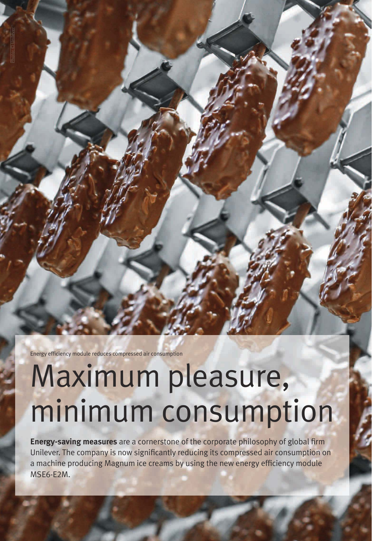Energy efficiency module reduces compressed air consumption

# Maximum pleasure, minimum consumption

**Energy-saving measures** are a cornerstone of the corporate philosophy of global firm Unilever. The company is now significantly reducing its compressed air consumption on a machine producing Magnum ice creams by using the new energy efficiency module MSE6-E2M.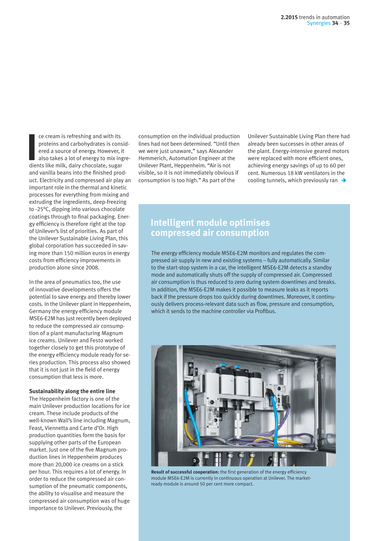**I** ce cream is refreshing and with its proteins and carbohydrates is conserved a source of energy. However, it also takes a lot of energy to mix ing dients like milk, dairy chocolate, sugar ce cream is refreshing and with its proteins and carbohydrates is considered a source of energy. However, it also takes a lot of energy to mix ingreand vanilla beans into the finished product. Electricity and compressed air play an important role in the thermal and kinetic processes for everything from mixing and extruding the ingredients, deep-freezing to -25°C, dipping into various chocolate coatings through to final packaging. Energy efficiency is therefore right at the top of Unilever's list of priorities. As part of the Unilever Sustainable Living Plan, this global corporation has succeeded in saving more than 150 million euros in energy costs from efficiency improvements in production alone since 2008.

In the area of pneumatics too, the use of innovative developments offers the potential to save energy and thereby lower costs. In the Unilever plant in Heppenheim, Germany the energy efficiency module MSE6-E2M has just recently been deployed to reduce the compressed air consumption of a plant manufacturing Magnum ice creams. Unilever and Festo worked together closely to get this prototype of the energy efficiency module ready for series production. This process also showed that it is not just in the field of energy consumption that less is more.

#### **Sustainability along the entire line**

The Heppenheim factory is one of the main Unilever production locations for ice cream. These include products of the well-known Wall's line including Magnum, Feast, Viennetta and Carte d'Or. High production quantities form the basis for supplying other parts of the European market. Just one of the five Magnum production lines in Heppenheim produces more than 20,000 ice creams on a stick per hour. This requires a lot of energy. In order to reduce the compressed air consumption of the pneumatic components, the ability to visualise and measure the compressed air consumption was of huge importance to Unilever. Previously, the

consumption on the individual production lines had not been determined. "Until then we were just unaware," says Alexander Hemmerich, Automation Engineer at the Unilever Plant, Heppenheim. "Air is not visible, so it is not immediately obvious if consumption is too high." As part of the

Unilever Sustainable Living Plan there had already been successes in other areas of the plant. Energy-intensive geared motors were replaced with more efficient ones, achieving energy savings of up to 60 per cent. Numerous 18 kW ventilators in the cooling tunnels, which previously ran  $\rightarrow$ 

## **Intelligent module optimises compressed air consumption**

The energy efficiency module MSE6-E2M monitors and regulates the compressed air supply in new and existing systems – fully automatically. Similar to the start-stop system in a car, the intelligent MSE6-E2M detects a standby mode and automatically shuts off the supply of compressed air. Compressed air consumption is thus reduced to zero during system downtimes and breaks. In addition, the MSE6-E2M makes it possible to measure leaks as it reports back if the pressure drops too quickly during downtimes. Moreover, it continuously delivers process-relevant data such as flow, pressure and consumption, which it sends to the machine controller via Profibus.



**Result of successful cooperation:** the first generation of the energy efficiency module MSE6-E2M is currently in continuous operation at Unilever. The marketready module is around 50 per cent more compact.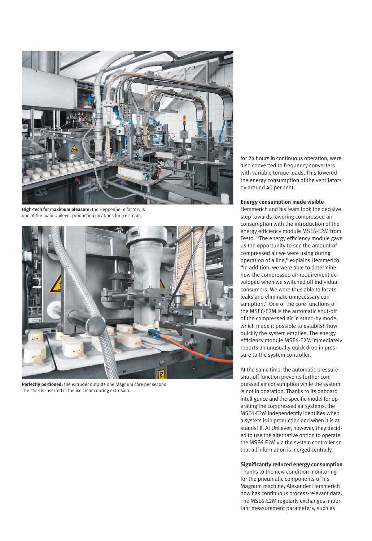

**High-tech for maximum pleasure:** the Heppenheim factory is one of the main Unilever production locations for ice cream.



**Perfectly portioned:** the extruder outputs one Magnum core per second. The stick is inserted in the ice cream during extrusion.

for 24 hours in continuous operation, were also converted to frequency converters with variable torque loads. This lowered the energy consumption of the ventilators by around 40 per cent.

#### **Energy consumption made visible**

Hemmerich and his team took the decisive step towards lowering compressed air consumption with the introduction of the energy efficiency module MSE6-E2M from Festo. "The energy efficiency module gave us the opportunity to see the amount of compressed air we were using during operation of a line," explains Hemmerich. "In addition, we were able to determine how the compressed air requirement developed when we switched off individual consumers. We were thus able to locate leaks and eliminate unnecessary consumption." One of the core functions of the MSE6-E2M is the automatic shut-off of the compressed air in stand-by mode, which made it possible to establish how quickly the system empties. The energy efficiency module MSE6-E2M immediately reports an unusually quick drop in pressure to the system controller.

At the same time, the automatic pressure shut-off function prevents further compressed air consumption while the system is not in operation. Thanks to its onboard intelligence and the specific model for operating the compressed air systems, the MSE6-E2M independently identifies when a system is in production and when it is at standstill. At Unilever, however, they decided to use the alternative option to operate the MSE6-E2M via the system controller so that all information is merged centrally.

### **Significantly reduced energy consumption**

Thanks to the new condition monitoring for the pneumatic components of his Magnum machine, Alexander Hemmerich now has continuous process-relevant data. The MSE6-E2M regularly exchanges important measurement parameters, such as